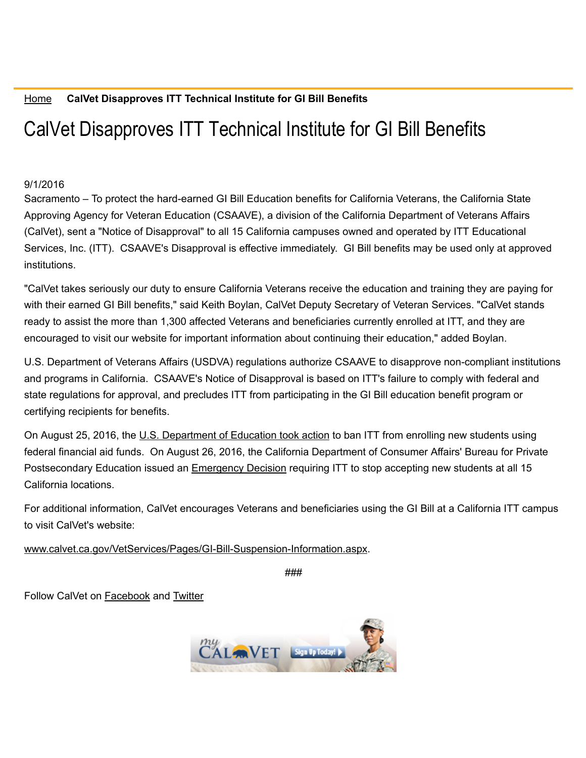## CalVet Disapproves ITT Technical Institute for GI Bill Benefits

## 9/1/2016

Sacramento – To protect the hard-earned GI Bill Education benefits for California Veterans, the California State Approving Agency for Veteran Education (CSAAVE), a division of the California Department of Veterans Affairs (CalVet), sent a "Notice of Disapproval" to all 15 California campuses owned and operated by ITT Educational Services, Inc. (ITT). CSAAVE's Disapproval is effective immediately. GI Bill benefits may be used only at approved institutions.

"CalVet takes seriously our duty to ensure California Veterans receive the education and training they are paying for with their earned GI Bill benefits," said Keith Boylan, CalVet Deputy Secretary of Veteran Services. "CalVet stands ready to assist the more than 1,300 affected Veterans and beneficiaries currently enrolled at ITT, and they are encouraged to visit our website for important information about continuing their education," added Boylan.

U.S. Department of Veterans Affairs (USDVA) regulations authorize CSAAVE to disapprove non-compliant institutions and programs in California. CSAAVE's Notice of Disapproval is based on ITT's failure to comply with federal and state regulations for approval, and precludes ITT from participating in the GI Bill education benefit program or certifying recipients for benefits.

On August 25, 2016, the U.S. [Department](http://www.ed.gov/news/press-releases/department-education-bans-itt-enrolling-new-title-iv-students-adds-tough-new-financial-oversight) of Education took action to ban ITT from enrolling new students using federal financial aid funds. On August 26, 2016, the California Department of Consumer Affairs' Bureau for Private Postsecondary Education issued an [Emergency](http://www.bppe.ca.gov/enforcement/actions/emergency_decision20160826.pdf) Decision requiring ITT to stop accepting new students at all 15 California locations.

For additional information, CalVet encourages Veterans and beneficiaries using the GI Bill at a California ITT campus to visit CalVet's website:

www.calvet.ca.gov/VetServices/Pages/GI-Bill-Suspension-Information.aspx.

*###*

Follow CalVet on [Facebook](http://www.facebook.com/MyCalVet) and [Twitter](http://twitter.com/mycalvet)